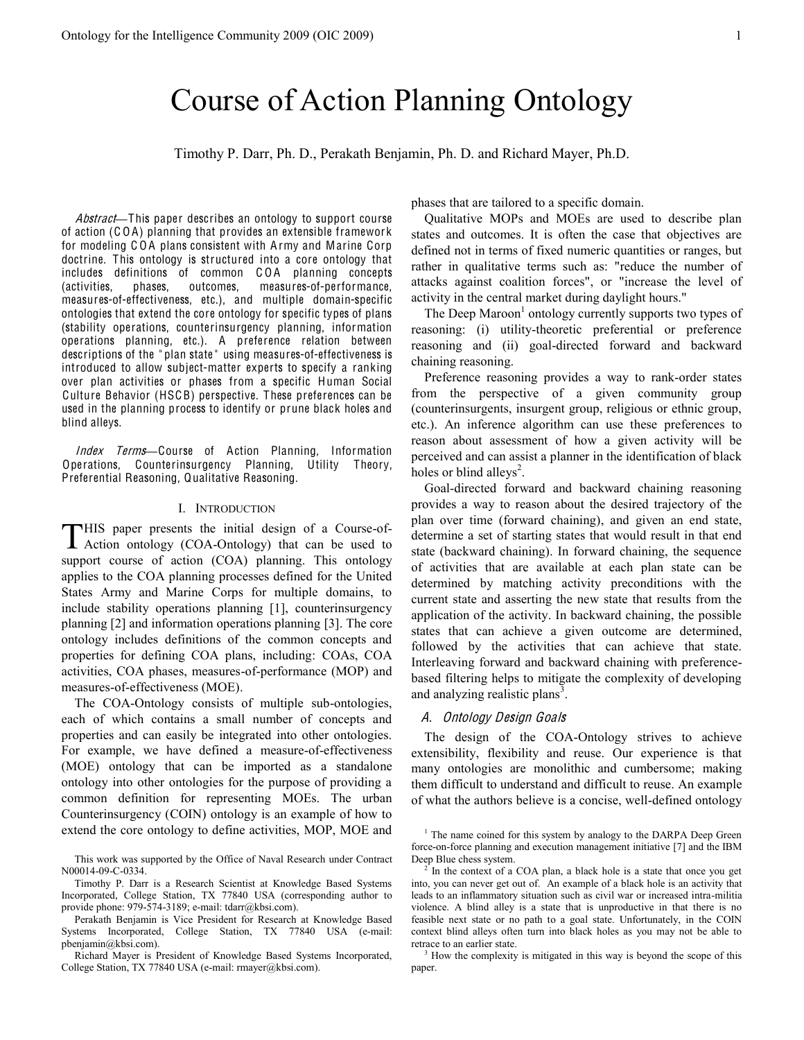# Course of Action Planning Ontology

Timothy P. Darr, Ph. D., Perakath Benjamin, Ph. D. and Richard Mayer, Ph.D.

Abstract—This paper describes an ontology to support course of action (C O A) planning that provides an extensible framewor k for modeling COA plans consistent with Army and Marine Corp doctrine. This ontology is structured into a core ontology that includes definitions of common COA planning concepts (activities, phases, outcomes, measures-of-performance, measures-of-effectiveness, etc.), and multiple domain-specific ontologies that extend the core ontology for specific types of plans (stability operations, counterinsurgency planning, information operations planning, etc.). A preference relation between descriptions of the " plan state " using measures-of-effectiveness is introduced to allow subject-matter experts to specify a ranking over plan activities or phases from a specific Human Social Culture Behavior (HSCB) perspective. These preferences can be used in the planning process to identify or prune black holes and blind alleys.

Inde<sup>x</sup> Term<sup>s</sup>**²**Course of Action Planning, Information Operations, Counterinsurgency Planning, Utility Theory, Preferential Reasoning, Qualitative Reasoning.

#### I. INTRODUCTION

HIS paper presents the initial design of a Course-of-THIS paper presents the initial design of a Course-of-<br>Action ontology (COA-Ontology) that can be used to support course of action (COA) planning. This ontology applies to the COA planning processes defined for the United States Army and Marine Corps for multiple domains, to include stability operations planning [1], counterinsurgency planning [2] and information operations planning [3]. The core ontology includes definitions of the common concepts and properties for defining COA plans, including: COAs, COA activities, COA phases, measures-of-performance (MOP) and measures-of-effectiveness (MOE).

The COA-Ontology consists of multiple sub-ontologies, each of which contains a small number of concepts and properties and can easily be integrated into other ontologies. For example, we have defined a measure-of-effectiveness (MOE) ontology that can be imported as a standalone ontology into other ontologies for the purpose of providing a common definition for representing MOEs. The urban Counterinsurgency (COIN) ontology is an example of how to extend the core ontology to define activities, MOP, MOE and phases that are tailored to a specific domain.

Qualitative MOPs and MOEs are used to describe plan states and outcomes. It is often the case that objectives are defined not in terms of fixed numeric quantities or ranges, but rather in qualitative terms such as: "reduce the number of attacks against coalition forces", or "increase the level of activity in the central market during daylight hours."

The Deep Maroon<sup>1</sup> ontology currently supports two types of reasoning: (i) utility-theoretic preferential or preference reasoning and (ii) goal-directed forward and backward chaining reasoning.

Preference reasoning provides a way to rank-order states from the perspective of a given community group (counterinsurgents, insurgent group, religious or ethnic group, etc.). An inference algorithm can use these preferences to reason about assessment of how a given activity will be perceived and can assist a planner in the identification of black holes or blind alleys<sup>2</sup>.

Goal-directed forward and backward chaining reasoning provides a way to reason about the desired trajectory of the plan over time (forward chaining), and given an end state, determine a set of starting states that would result in that end state (backward chaining). In forward chaining, the sequence of activities that are available at each plan state can be determined by matching activity preconditions with the current state and asserting the new state that results from the application of the activity. In backward chaining, the possible states that can achieve a given outcome are determined, followed by the activities that can achieve that state. Interleaving forward and backward chaining with preferencebased filtering helps to mitigate the complexity of developing and analyzing realistic plans $3$ .

## A. Ontology De<sup>s</sup>ign Goal<sup>s</sup>

The design of the COA-Ontology strives to achieve extensibility, flexibility and reuse. Our experience is that many ontologies are monolithic and cumbersome; making them difficult to understand and difficult to reuse. An example of what the authors believe is a concise, well-defined ontology

This work was supported by the Office of Naval Research under Contract N00014-09-C-0334.

Timothy P. Darr is a Research Scientist at Knowledge Based Systems Incorporated, College Station, TX 77840 USA (corresponding author to provide phone: 979-574-3189; e-mail: tdarr@kbsi.com).

Perakath Benjamin is Vice President for Research at Knowledge Based Systems Incorporated, College Station, TX 77840 USA (e-mail: pbenjamin@kbsi.com).

Richard Mayer is President of Knowledge Based Systems Incorporated, College Station, TX 77840 USA (e-mail: rmayer@kbsi.com).

<sup>&</sup>lt;sup>1</sup> The name coined for this system by analogy to the DARPA Deep Green force-on-force planning and execution management initiative [7] and the IBM Deep Blue chess system.<br><sup>2</sup> In the context of a COA plan, a black hole is a state that once you get

into, you can never get out of. An example of a black hole is an activity that leads to an inflammatory situation such as civil war or increased intra-militia violence. A blind alley is a state that is unproductive in that there is no feasible next state or no path to a goal state. Unfortunately, in the COIN context blind alleys often turn into black holes as you may not be able to retrace to an earlier state.

<sup>&</sup>lt;sup>3</sup> How the complexity is mitigated in this way is beyond the scope of this paper.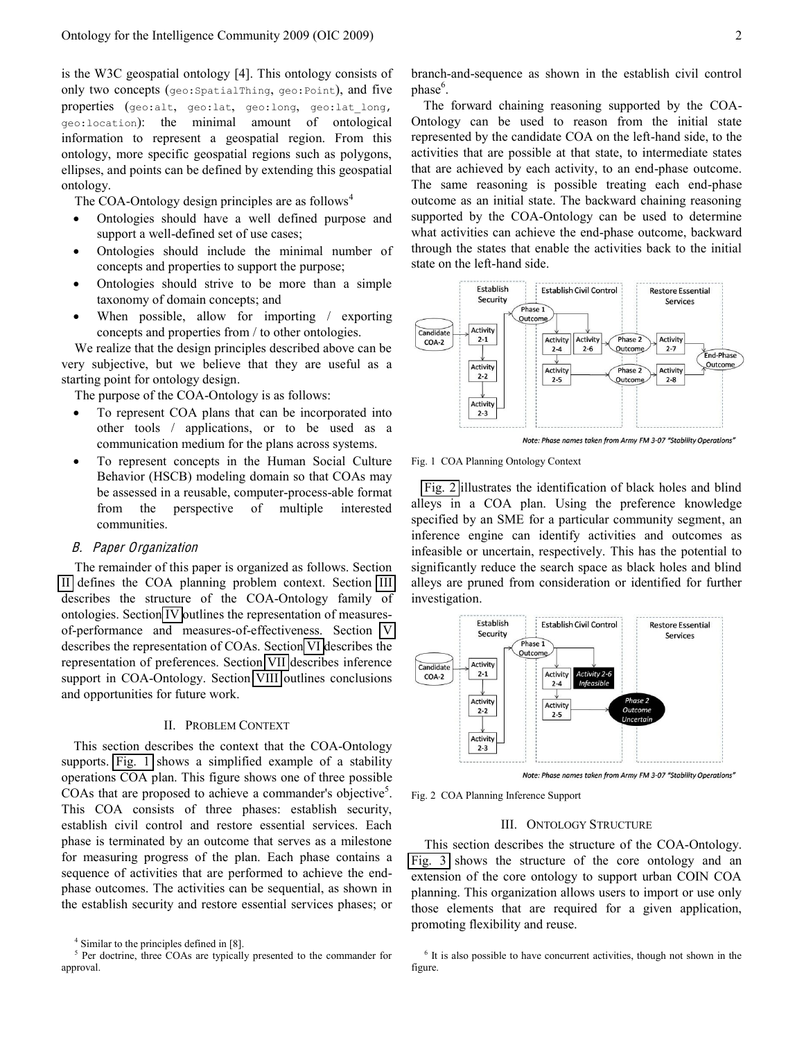is the W3C geospatial ontology [4]. This ontology consists of only two concepts (geo:SpatialThing, geo:Point), and five properties (geo:alt, geo:lat, geo:long, geo:lat long, geo:location): the minimal amount of ontological information to represent a geospatial region. From this ontology, more specific geospatial regions such as polygons, ellipses, and points can be defined by extending this geospatial ontology.

The COA-Ontology design principles are as follows<sup>4</sup>

- Ontologies should have a well defined purpose and support a well-defined set of use cases;
- Ontologies should include the minimal number of concepts and properties to support the purpose;
- Ontologies should strive to be more than a simple taxonomy of domain concepts; and
- When possible, allow for importing / exporting concepts and properties from / to other ontologies.

We realize that the design principles described above can be very subjective, but we believe that they are useful as a starting point for ontology design.

The purpose of the COA-Ontology is as follows:

- To represent COA plans that can be incorporated into other tools / applications, or to be used as a communication medium for the plans across systems.
- To represent concepts in the Human Social Culture Behavior (HSCB) modeling domain so that COAs may be assessed in a reusable, computer-process-able format from the perspective of multiple interested communities.

## B. Pap<sup>e</sup><sup>r</sup> Organization

The remainder of this paper is organized as follows. Section [II](#page-1-0) defines the COA planning problem context. Section [III](#page-1-1) describes the structure of the COA-Ontology family of ontologies. Section [IV](#page-3-0) outlines the representation of measuresof-performance and measures-of-effectiveness. Section [V](#page-3-1) describes the representation of COAs. Section [VI](#page-4-0) describes the representation of preferences. Section [VII](#page-4-1) describes inference support in COA-Ontology. Section [VIII](#page-5-0) outlines conclusions and opportunities for future work.

#### II. PROBLEM CONTEXT

<span id="page-1-0"></span>This section describes the context that the COA-Ontology supports. [Fig. 1](#page-1-2) shows a simplified example of a stability operations COA plan. This figure shows one of three possible COAs that are proposed to achieve a commander's objective<sup>5</sup>. This COA consists of three phases: establish security, establish civil control and restore essential services. Each phase is terminated by an outcome that serves as a milestone for measuring progress of the plan. Each phase contains a sequence of activities that are performed to achieve the endphase outcomes. The activities can be sequential, as shown in the establish security and restore essential services phases; or

branch-and-sequence as shown in the establish civil control phase<sup>6</sup>.

The forward chaining reasoning supported by the COA-Ontology can be used to reason from the initial state represented by the candidate COA on the left-hand side, to the activities that are possible at that state, to intermediate states that are achieved by each activity, to an end-phase outcome. The same reasoning is possible treating each end-phase outcome as an initial state. The backward chaining reasoning supported by the COA-Ontology can be used to determine what activities can achieve the end-phase outcome, backward through the states that enable the activities back to the initial state on the left-hand side.



Note: Phase names taken from Army FM 3-07 "Stability Operations'

<span id="page-1-2"></span>Fig. 1 COA Planning Ontology Context

[Fig. 2](#page-1-3) illustrates the identification of black holes and blind alleys in a COA plan. Using the preference knowledge specified by an SME for a particular community segment, an inference engine can identify activities and outcomes as infeasible or uncertain, respectively. This has the potential to significantly reduce the search space as black holes and blind alleys are pruned from consideration or identified for further investigation.



<span id="page-1-3"></span>Fig. 2 COA Planning Inference Support

## III. ONTOLOGY STRUCTURE

<span id="page-1-1"></span>This section describes the structure of the COA-Ontology. [Fig. 3](#page-2-0) shows the structure of the core ontology and an extension of the core ontology to support urban COIN COA planning. This organization allows users to import or use only those elements that are required for a given application, promoting flexibility and reuse.

 $4$  Similar to the principles defined in [8].

<sup>&</sup>lt;sup>5</sup> Per doctrine, three COAs are typically presented to the commander for approval.

<sup>&</sup>lt;sup>6</sup> It is also possible to have concurrent activities, though not shown in the figure.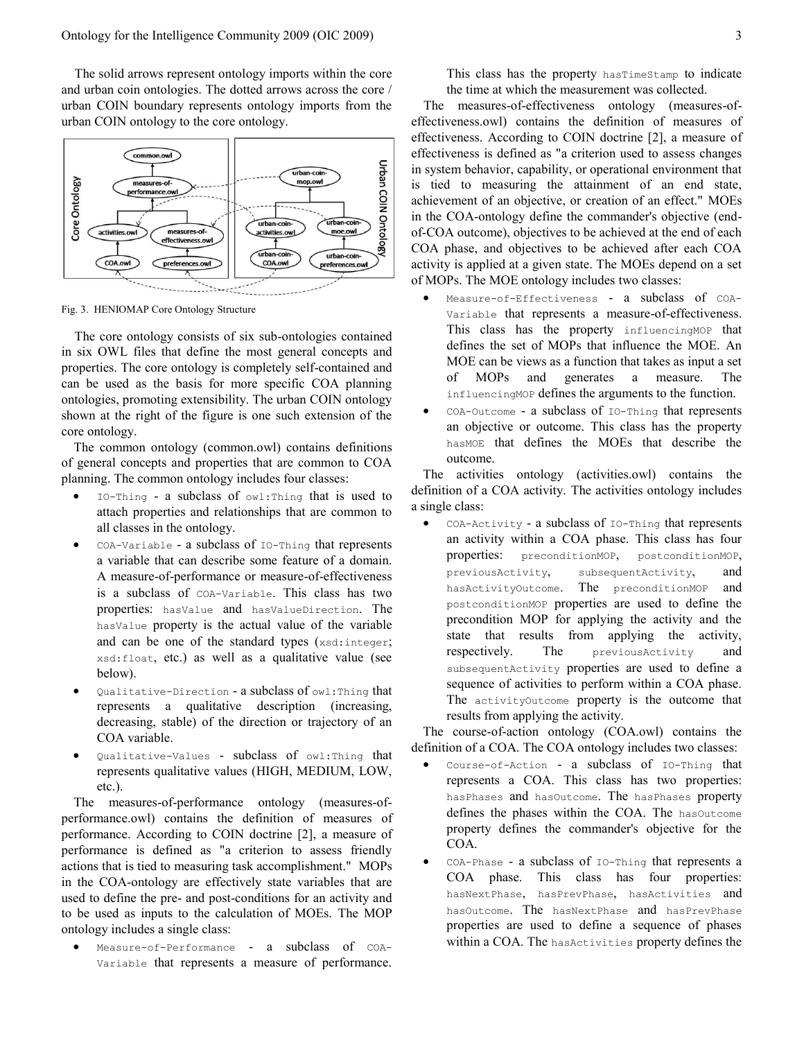The solid arrows represent ontology imports within the core and urban coin ontologies. The dotted arrows across the core / urban COIN boundary represents ontology imports from the urban COIN ontology to the core ontology.



<span id="page-2-0"></span>Fig. 3. HENIOMAP Core Ontology Structure

The core ontology consists of six sub-ontologies contained in six OWL files that define the most general concepts and properties. The core ontology is completely self-contained and can be used as the basis for more specific COA planning ontologies, promoting extensibility. The urban COIN ontology shown at the right of the figure is one such extension of the core ontology.

The common ontology (common.owl) contains definitions of general concepts and properties that are common to COA planning. The common ontology includes four classes:

- $IO-Thing a subclass of  $owl:Thing$  that is used to$ attach properties and relationships that are common to all classes in the ontology.
- $COA-Variable a subclass of IO-Third that represents$ a variable that can describe some feature of a domain. A measure-of-performance or measure-of-effectiveness is a subclass of COA-Variable. This class has two properties: hasValue and hasValueDirection. The hasValue property is the actual value of the variable and can be one of the standard types (xsd:integer; xsd:float, etc.) as well as a qualitative value (see below).
- Qualitative-Direction a subclass of owl: Thing that represents a qualitative description (increasing, decreasing, stable) of the direction or trajectory of an COA variable.
- Qualitative-Values subclass of  $ow1:Thing$  that represents qualitative values (HIGH, MEDIUM, LOW, etc.).

The measures-of-performance ontology (measures-ofperformance.owl) contains the definition of measures of performance. According to COIN doctrine [2], a measure of performance is defined as "a criterion to assess friendly actions that is tied to measuring task accomplishment." MOPs in the COA-ontology are effectively state variables that are used to define the pre- and post-conditions for an activity and to be used as inputs to the calculation of MOEs. The MOP ontology includes a single class:

Measure-of-Performance - a subclass of COA-Variable that represents a measure of performance. This class has the property hasTimeStamp to indicate the time at which the measurement was collected.

The measures-of-effectiveness ontology (measures-ofeffectiveness.owl) contains the definition of measures of effectiveness. According to COIN doctrine [2], a measure of effectiveness is defined as "a criterion used to assess changes in system behavior, capability, or operational environment that is tied to measuring the attainment of an end state, achievement of an objective, or creation of an effect." MOEs in the COA-ontology define the commander's objective (endof-COA outcome), objectives to be achieved at the end of each COA phase, and objectives to be achieved after each COA activity is applied at a given state. The MOEs depend on a set of MOPs. The MOE ontology includes two classes:

- Measure-of-Effectiveness a subclass of COA-Variable that represents a measure-of-effectiveness. This class has the property influencingMOP that defines the set of MOPs that influence the MOE. An MOE can be views as a function that takes as input a set of MOPs and generates a measure. The influencingMOP defines the arguments to the function.
- COA-Outcome a subclass of IO-Thing that represents an objective or outcome. This class has the property hasMOE that defines the MOEs that describe the outcome.

The activities ontology (activities.owl) contains the definition of a COA activity. The activities ontology includes a single class:

 $COA-Activity$  - a subclass of  $IO-Thing$  that represents an activity within a COA phase. This class has four properties: preconditionMOP, postconditionMOP, previousActivity, subsequentActivity, and hasActivityOutcome. The preconditionMOP and postconditionMOP properties are used to define the precondition MOP for applying the activity and the state that results from applying the activity, respectively. The previousActivity and subsequentActivity properties are used to define a sequence of activities to perform within a COA phase. The activityOutcome property is the outcome that results from applying the activity.

The course-of-action ontology (COA.owl) contains the definition of a COA. The COA ontology includes two classes:

- Course-of-Action a subclass of  $I0-Th$ ing that represents a COA. This class has two properties: hasPhases and hasOutcome. The hasPhases property defines the phases within the COA. The hasOutcome property defines the commander's objective for the COA.
- COA-Phase a subclass of  $I_0$ -Thing that represents a COA phase. This class has four properties: hasNextPhase, hasPrevPhase, hasActivities and hasOutcome. The hasNextPhase and hasPrevPhase properties are used to define a sequence of phases within a COA. The hasActivities property defines the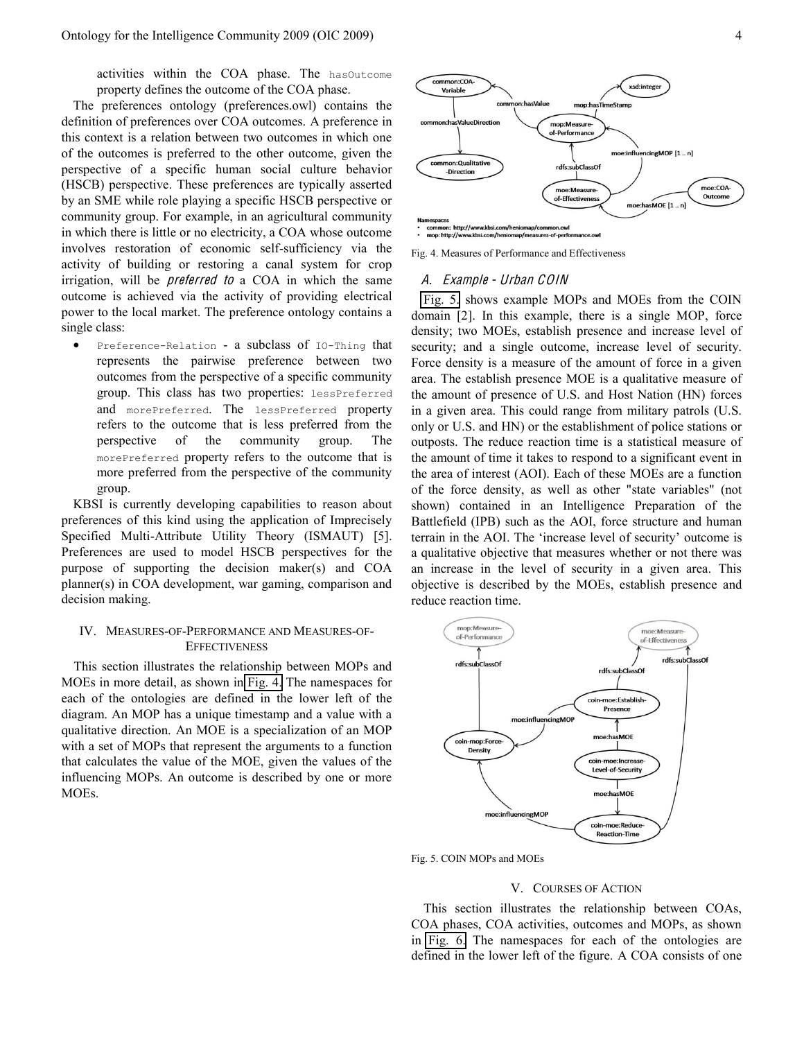activities within the COA phase. The hasOutcome property defines the outcome of the COA phase.

The preferences ontology (preferences.owl) contains the definition of preferences over COA outcomes. A preference in this context is a relation between two outcomes in which one of the outcomes is preferred to the other outcome, given the perspective of a specific human social culture behavior (HSCB) perspective. These preferences are typically asserted by an SME while role playing a specific HSCB perspective or community group. For example, in an agricultural community in which there is little or no electricity, a COA whose outcome involves restoration of economic self-sufficiency via the activity of building or restoring a canal system for crop irrigation, will be *preferred to* a COA in which the same outcome is achieved via the activity of providing electrical power to the local market. The preference ontology contains a single class:

Preference-Relation - a subclass of IO-Thing that represents the pairwise preference between two outcomes from the perspective of a specific community group. This class has two properties: lessPreferred and morePreferred. The lessPreferred property refers to the outcome that is less preferred from the perspective of the community group. The morePreferred property refers to the outcome that is more preferred from the perspective of the community group.

KBSI is currently developing capabilities to reason about preferences of this kind using the application of Imprecisely Specified Multi-Attribute Utility Theory (ISMAUT) [5]. Preferences are used to model HSCB perspectives for the purpose of supporting the decision maker(s) and COA planner(s) in COA development, war gaming, comparison and decision making.

# <span id="page-3-0"></span>IV. MEASURES-OF-PERFORMANCE AND MEASURES-OF-**EFFECTIVENESS**

This section illustrates the relationship between MOPs and MOEs in more detail, as shown in [Fig. 4.](#page-3-2) The namespaces for each of the ontologies are defined in the lower left of the diagram. An MOP has a unique timestamp and a value with a qualitative direction. An MOE is a specialization of an MOP with a set of MOPs that represent the arguments to a function that calculates the value of the MOE, given the values of the influencing MOPs. An outcome is described by one or more MOEs.



<span id="page-3-2"></span>Fig. 4. Measures of Performance and Effectiveness

#### A. Exampl<sup>e</sup> - Urban COIN

[Fig. 5.](#page-3-3) shows example MOPs and MOEs from the COIN domain [2]. In this example, there is a single MOP, force density; two MOEs, establish presence and increase level of security; and a single outcome, increase level of security. Force density is a measure of the amount of force in a given area. The establish presence MOE is a qualitative measure of the amount of presence of U.S. and Host Nation (HN) forces in a given area. This could range from military patrols (U.S. only or U.S. and HN) or the establishment of police stations or outposts. The reduce reaction time is a statistical measure of the amount of time it takes to respond to a significant event in the area of interest (AOI). Each of these MOEs are a function of the force density, as well as other "state variables" (not shown) contained in an Intelligence Preparation of the Battlefield (IPB) such as the AOI, force structure and human terrain in the AOI. The 'increase level of security' outcome is a qualitative objective that measures whether or not there was an increase in the level of security in a given area. This objective is described by the MOEs, establish presence and reduce reaction time.



<span id="page-3-3"></span>Fig. 5. COIN MOPs and MOEs

## V. COURSES OF ACTION

<span id="page-3-1"></span>This section illustrates the relationship between COAs, COA phases, COA activities, outcomes and MOPs, as shown in [Fig. 6.](#page-4-2) The namespaces for each of the ontologies are defined in the lower left of the figure. A COA consists of one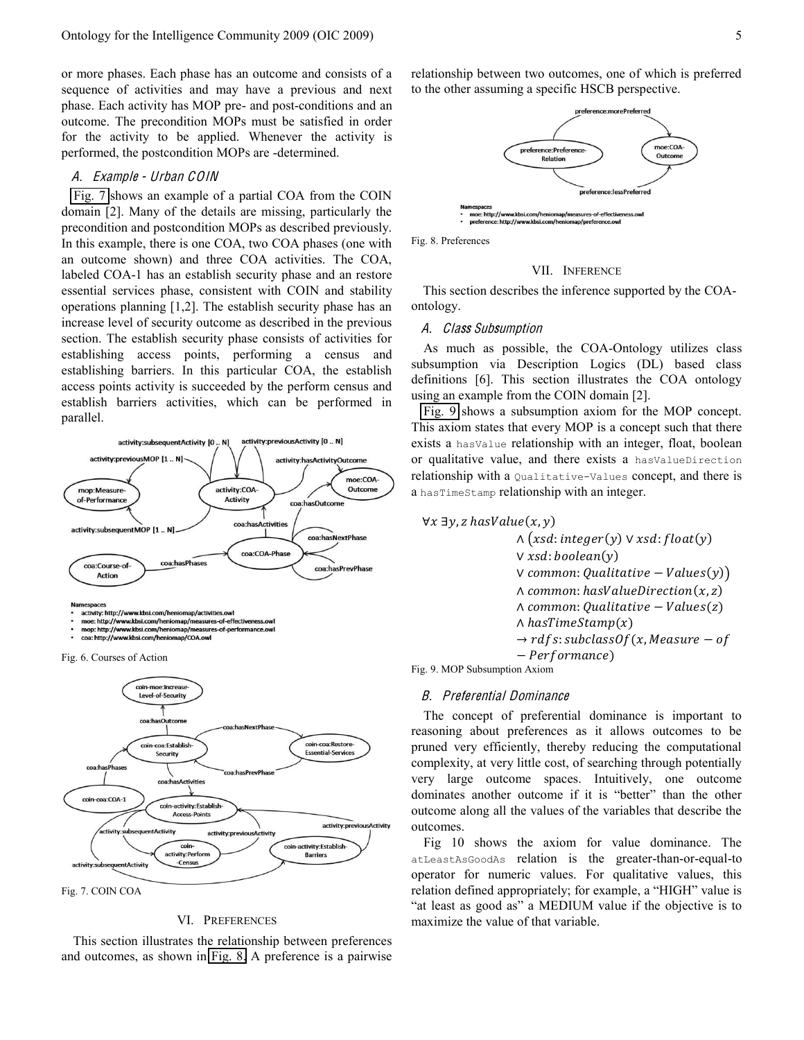or more phases. Each phase has an outcome and consists of a sequence of activities and may have a previous and next phase. Each activity has MOP pre- and post-conditions and an outcome. The precondition MOPs must be satisfied in order for the activity to be applied. Whenever the activity is performed, the postcondition MOPs are -determined.

## A. Exampl<sup>e</sup> - Urban COIN

[Fig. 7](#page-4-3) shows an example of a partial COA from the COIN domain [2]. Many of the details are missing, particularly the precondition and postcondition MOPs as described previously. In this example, there is one COA, two COA phases (one with an outcome shown) and three COA activities. The COA, labeled COA-1 has an establish security phase and an restore essential services phase, consistent with COIN and stability operations planning [1,2]. The establish security phase has an increase level of security outcome as described in the previous section. The establish security phase consists of activities for establishing access points, performing a census and establishing barriers. In this particular COA, the establish access points activity is succeeded by the perform census and establish barriers activities, which can be performed in parallel.



activity: http://www.kbsi.com/henior an/activities ow moe: http://www.kbsi.com/heniomap/measures-of-effecti

mop: http://www.kbsi.com/heniomap/measures-of-performance.ow

coa: http://www.kbsi.com/heniomap/COA.ow

<span id="page-4-2"></span>Fig. 6. Courses of Action



## VI. PREFERENCES

<span id="page-4-3"></span><span id="page-4-0"></span>This section illustrates the relationship between preferences and outcomes, as shown in [Fig. 8.](#page-4-4) A preference is a pairwise

relationship between two outcomes, one of which is preferred to the other assuming a specific HSCB perspective.



<span id="page-4-4"></span>Fig. 8. Preferences

#### VII. INFERENCE

<span id="page-4-1"></span>This section describes the inference supported by the COAontology.

#### A. Class Subsumption

As much as possible, the COA-Ontology utilizes class subsumption via Description Logics (DL) based class definitions [6]. This section illustrates the COA ontology using an example from the COIN domain [2].

[Fig. 9](#page-4-5) shows a subsumption axiom for the MOP concept. This axiom states that every MOP is a concept such that there exists a hasValue relationship with an integer, float, boolean or qualitative value, and there exists a hasValueDirection relationship with a Qualitative-Values concept, and there is a hasTimeStamp relationship with an integer.

 $\forall x \exists y, z \text{ hasValue}(x, y)$  $\Lambda$ (xsd: integer(y)  $\vee$  xsd: float(y) V xsd: boolean(y)  $V$  common: Qualitative – Values $(y)$ )  $\Lambda$  common: has Value Direction  $(x, z)$  $\land$  common: Qualitative - Values(z)  $\wedge$  has Time Stamp $(x)$  $\rightarrow$  rdfs: subclass0f(x, Measure – of  $-$  Performance)

<span id="page-4-5"></span>Fig. 9. MOP Subsumption Axiom

#### B. Preferential Dominance

The concept of preferential dominance is important to reasoning about preferences as it allows outcomes to be pruned very efficiently, thereby reducing the computational complexity, at very little cost, of searching through potentially very large outcome spaces. Intuitively, one outcome dominates another outcome if it is "better" than the other outcome along all the values of the variables that describe the outcomes.

Fig 10 shows the axiom for value dominance. The atLeastAsGoodAs relation is the greater-than-or-equal-to operator for numeric values. For qualitative values, this relation defined appropriately; for example, a "HIGH" value is "at least as good as" a MEDIUM value if the objective is to maximize the value of that variable.